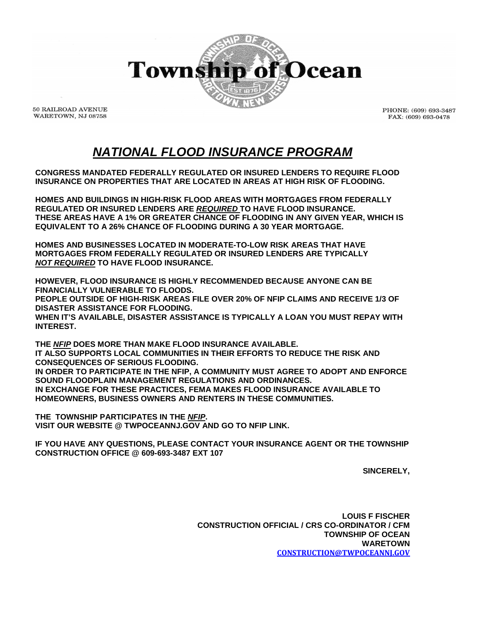

**50 RAILROAD AVENUE** WARETOWN, NJ 08758

PHONE: (609) 693-3487 FAX: (609) 693-0478

## *NATIONAL FLOOD INSURANCE PROGRAM*

**CONGRESS MANDATED FEDERALLY REGULATED OR INSURED LENDERS TO REQUIRE FLOOD INSURANCE ON PROPERTIES THAT ARE LOCATED IN AREAS AT HIGH RISK OF FLOODING.**

**HOMES AND BUILDINGS IN HIGH-RISK FLOOD AREAS WITH MORTGAGES FROM FEDERALLY REGULATED OR INSURED LENDERS ARE** *REQUIRED* **TO HAVE FLOOD INSURANCE. THESE AREAS HAVE A 1% OR GREATER CHANCE OF FLOODING IN ANY GIVEN YEAR, WHICH IS EQUIVALENT TO A 26% CHANCE OF FLOODING DURING A 30 YEAR MORTGAGE.**

**HOMES AND BUSINESSES LOCATED IN MODERATE-TO-LOW RISK AREAS THAT HAVE MORTGAGES FROM FEDERALLY REGULATED OR INSURED LENDERS ARE TYPICALLY** *NOT REQUIRED* **TO HAVE FLOOD INSURANCE.**

**HOWEVER, FLOOD INSURANCE IS HIGHLY RECOMMENDED BECAUSE ANYONE CAN BE FINANCIALLY VULNERABLE TO FLOODS. PEOPLE OUTSIDE OF HIGH-RISK AREAS FILE OVER 20% OF NFIP CLAIMS AND RECEIVE 1/3 OF DISASTER ASSISTANCE FOR FLOODING. WHEN IT'S AVAILABLE, DISASTER ASSISTANCE IS TYPICALLY A LOAN YOU MUST REPAY WITH INTEREST.**

**THE** *NFIP* **DOES MORE THAN MAKE FLOOD INSURANCE AVAILABLE. IT ALSO SUPPORTS LOCAL COMMUNITIES IN THEIR EFFORTS TO REDUCE THE RISK AND CONSEQUENCES OF SERIOUS FLOODING. IN ORDER TO PARTICIPATE IN THE NFIP, A COMMUNITY MUST AGREE TO ADOPT AND ENFORCE SOUND FLOODPLAIN MANAGEMENT REGULATIONS AND ORDINANCES. IN EXCHANGE FOR THESE PRACTICES, FEMA MAKES FLOOD INSURANCE AVAILABLE TO HOMEOWNERS, BUSINESS OWNERS AND RENTERS IN THESE COMMUNITIES.**

**THE TOWNSHIP PARTICIPATES IN THE** *NFIP***. VISIT OUR WEBSITE @ TWPOCEANNJ.GOV AND GO TO NFIP LINK.**

**IF YOU HAVE ANY QUESTIONS, PLEASE CONTACT YOUR INSURANCE AGENT OR THE TOWNSHIP CONSTRUCTION OFFICE @ 609-693-3487 EXT 107**

**SINCERELY,**

**LOUIS F FISCHER CONSTRUCTION OFFICIAL / CRS CO-ORDINATOR / CFM TOWNSHIP OF OCEAN WARETOWN [CONSTRUCTION@TWPOCEANNJ.GOV](mailto:CONSTRUCTION@TWPOCEANNJ.GOV)**